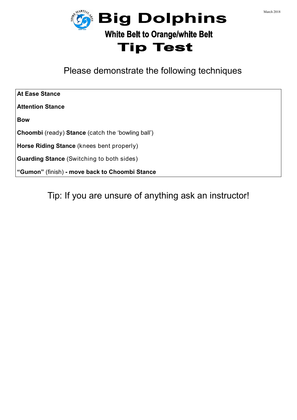



Please demonstrate the following techniques

| <b>At Ease Stance</b>                                           |
|-----------------------------------------------------------------|
| <b>Attention Stance</b>                                         |
| <b>Bow</b>                                                      |
| <b>Choombi</b> (ready) <b>Stance</b> (catch the 'bowling ball') |
| <b>Horse Riding Stance</b> (knees bent properly)                |
| <b>Guarding Stance</b> (Switching to both sides)                |
| "Gumon" (finish) - move back to Choombi Stance                  |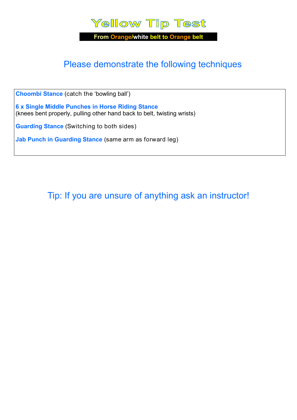

# Please demonstrate the following techniques

**Choombi Stance** (catch the 'bowling ball')

**6 x Single Middle Punches in Horse Riding Stance**  (knees bent properly, pulling other hand back to belt, twisting wrists)

**Guarding Stance** (Switching to both sides)

**Jab Punch in Guarding Stance** (same arm as forward leg)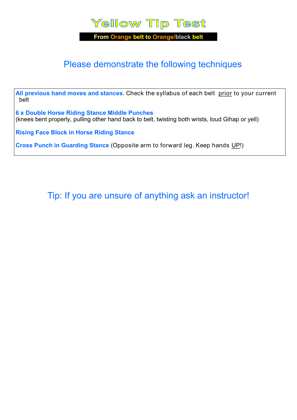

**From Orange belt to Orange/black belt**

### Please demonstrate the following techniques

All previous hand moves and stances. Check the syllabus of each belt prior to your current belt

**6 x Double Horse Riding Stance Middle Punches**  (knees bent properly, pulling other hand back to belt, twisting both wrists, loud Gihap or yell)

**Rising Face Block in Horse Riding Stance**

**Cross Punch in Guarding Stance** (Opposite arm to forward leg. Keep hands UP!)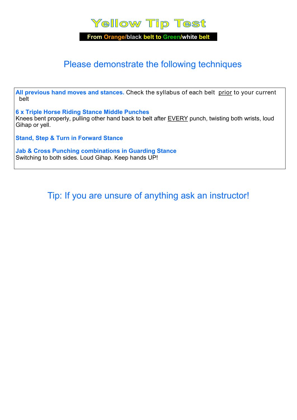

**From Orange/black belt to Green/white belt**

### Please demonstrate the following techniques

All previous hand moves and stances. Check the syllabus of each belt prior to your current belt

**6 x Triple Horse Riding Stance Middle Punches**  Knees bent properly, pulling other hand back to belt after EVERY punch, twisting both wrists, loud Gihap or yell.

**Stand, Step & Turn in Forward Stance** 

**Jab & Cross Punching combinations in Guarding Stance**  Switching to both sides. Loud Gihap. Keep hands UP!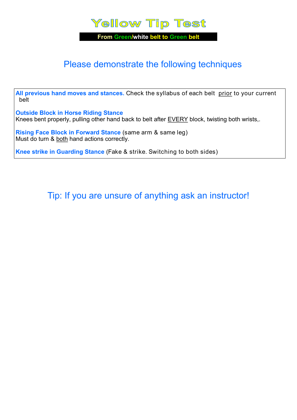

**From Green/white belt to Green belt**

### Please demonstrate the following techniques

**All previous hand moves and stances.** Check the syllabus of each belt prior to your current belt

**Outside Block in Horse Riding Stance**  Knees bent properly, pulling other hand back to belt after **EVERY** block, twisting both wrists,.

**Rising Face Block in Forward Stance** (same arm & same leg) Must do turn & both hand actions correctly.

**Knee strike in Guarding Stance** (Fake & strike. Switching to both sides)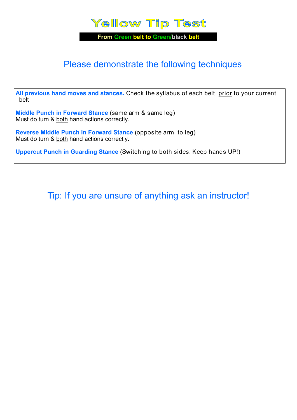

**From Green belt to Green/black belt**

### Please demonstrate the following techniques

**All previous hand moves and stances.** Check the syllabus of each belt prior to your current belt

**Middle Punch in Forward Stance** (same arm & same leg) Must do turn & both hand actions correctly.

**Reverse Middle Punch in Forward Stance** (opposite arm to leg) Must do turn & both hand actions correctly.

**Uppercut Punch in Guarding Stance** (Switching to both sides. Keep hands UP!)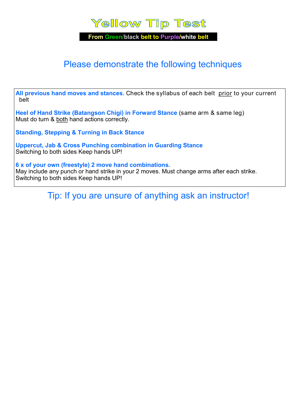## **Yellow Tip Test**

**From Green/black belt to Purple/white belt** 

### Please demonstrate the following techniques

**All previous hand moves and stances.** Check the syllabus of each belt prior to your current belt

**Heel of Hand Strike (Batangson Chigi) in Forward Stance** (same arm & same leg) Must do turn & both hand actions correctly.

**Standing, Stepping & Turning in Back Stance**

**Uppercut, Jab & Cross Punching combination in Guarding Stance**  Switching to both sides Keep hands UP!

**6 x of your own (freestyle) 2 move hand combinations.**  May include any punch or hand strike in your 2 moves. Must change arms after each strike. Switching to both sides Keep hands UP!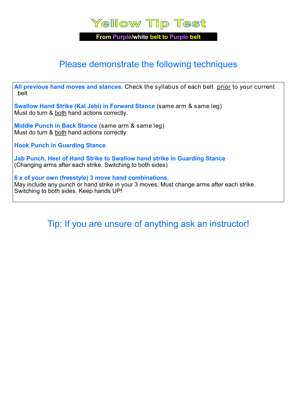### **Yellow Tip Test**

**From Purple/white belt to Purple belt** 

### Please demonstrate the following techniques

**All previous hand moves and stances.** Check the syllabus of each belt prior to your current belt

**Swallow Hand Strike (Kal Jebi) in Forward Stance** (same arm & same leg) Must do turn & both hand actions correctly.

**Middle Punch in Back Stance** (same arm & same leg) Must do turn & both hand actions correctly

**Hook Punch in Guarding Stance** 

**Jab Punch, Heel of Hand Strike to Swallow hand strike in Guarding Stance**  (Changing arms after each strike. Switching to both sides)

**6 x of your own (freestyle) 3 move hand combinations.**  May include any punch or hand strike in your 3 moves. Must change arms after each strike. Switching to both sides. Keep hands UP!